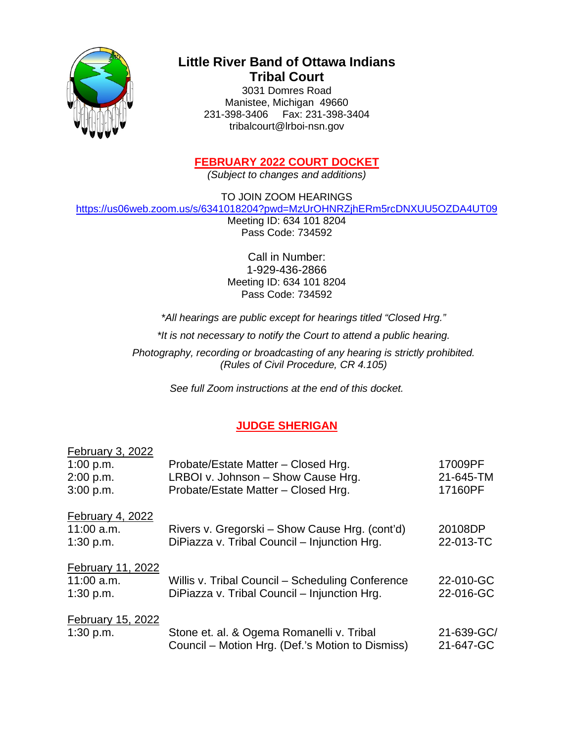

# **Little River Band of Ottawa Indians Tribal Court**

3031 Domres Road Manistee, Michigan 49660 231-398-3406 Fax: 231-398-3404 tribalcourt@lrboi-nsn.gov

# **FEBRUARY 2022 COURT DOCKET**

*(Subject to changes and additions)*

TO JOIN ZOOM HEARINGS

<https://us06web.zoom.us/s/6341018204?pwd=MzUrOHNRZjhERm5rcDNXUU5OZDA4UT09>

Meeting ID: 634 101 8204 Pass Code: 734592

Call in Number: 1-929-436-2866 Meeting ID: 634 101 8204 Pass Code: 734592

*\*All hearings are public except for hearings titled "Closed Hrg."*

*\*It is not necessary to notify the Court to attend a public hearing.* 

*Photography, recording or broadcasting of any hearing is strictly prohibited. (Rules of Civil Procedure, CR 4.105)*

*See full Zoom instructions at the end of this docket.*

# **JUDGE SHERIGAN**

| February 3, 2022         |                                                  |            |
|--------------------------|--------------------------------------------------|------------|
| 1:00 p.m.                | Probate/Estate Matter - Closed Hrg.              | 17009PF    |
| 2:00 p.m.                | LRBOI v. Johnson - Show Cause Hrg.               | 21-645-TM  |
| 3:00 p.m.                | Probate/Estate Matter - Closed Hrg.              | 17160PF    |
| February 4, 2022         |                                                  |            |
| $11:00$ a.m.             | Rivers v. Gregorski – Show Cause Hrg. (cont'd)   | 20108DP    |
| 1:30 p.m.                | DiPiazza v. Tribal Council - Injunction Hrg.     | 22-013-TC  |
| <b>February 11, 2022</b> |                                                  |            |
| $11:00$ a.m.             | Willis v. Tribal Council - Scheduling Conference | 22-010-GC  |
| 1:30 p.m.                | DiPiazza v. Tribal Council - Injunction Hrg.     | 22-016-GC  |
| February 15, 2022        |                                                  |            |
| 1:30 p.m.                | Stone et. al. & Ogema Romanelli v. Tribal        | 21-639-GC/ |
|                          | Council – Motion Hrg. (Def.'s Motion to Dismiss) | 21-647-GC  |
|                          |                                                  |            |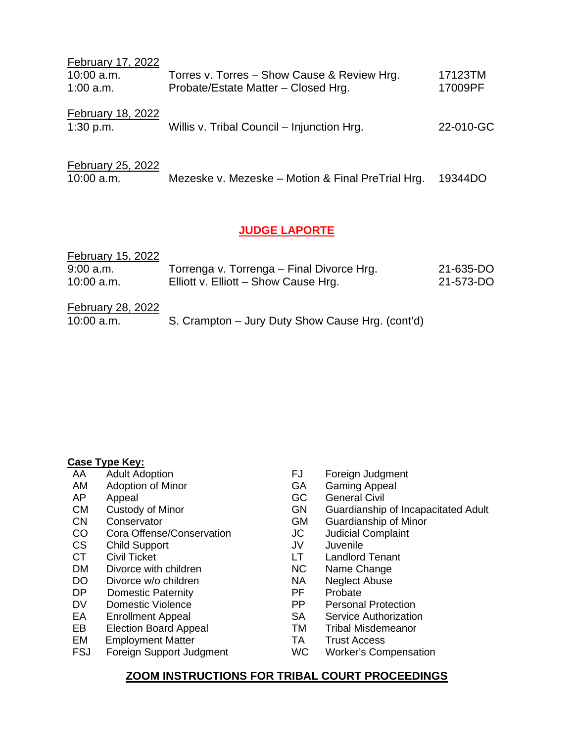| February 17, 2022 |                                             |           |
|-------------------|---------------------------------------------|-----------|
| $10:00$ a.m.      | Torres v. Torres - Show Cause & Review Hrg. | 17123TM   |
| $1:00$ a.m.       | Probate/Estate Matter - Closed Hrg.         | 17009PF   |
| February 18, 2022 |                                             |           |
| 1:30 p.m.         | Willis v. Tribal Council – Injunction Hrg.  | 22-010-GC |
|                   |                                             |           |

| February 25, 2022 |                                                           |  |
|-------------------|-----------------------------------------------------------|--|
| $10:00$ a.m.      | Mezeske v. Mezeske – Motion & Final PreTrial Hrg. 19344DO |  |

## **JUDGE LAPORTE**

| February 15, 2022 |                                                  |           |
|-------------------|--------------------------------------------------|-----------|
| $9:00$ a.m.       | Torrenga v. Torrenga – Final Divorce Hrg.        | 21-635-DO |
| $10:00$ a.m.      | Elliott v. Elliott - Show Cause Hrg.             | 21-573-DO |
| February 28, 2022 |                                                  |           |
| $10:00$ a.m.      | S. Crampton - Jury Duty Show Cause Hrg. (cont'd) |           |

# **Case Type Key:**<br>AA Adult Adoption

- 
- AM Adoption of Minor GA
- 
- 
- 
- CN Conservator GM Guardianship of Minor<br>
CO Cora Offense/Conservation JC Judicial Complaint Cora Offense/Conservation JC
- CS Child Support JV Juvenile
- 
- DM Divorce with children NC Name Change<br>
DO Divorce w/o children NA Neglect Abuse
- DO Divorce w/o children NA Neglect Abuse Control of the Neglect Abuse Control of the Neglect Abuse Control of the Media DP Probate
- Domestic Paternity<br>
Domestic Violence<br>
PP
- 
- 
- EB Election Board Appeal **EXACT TE TRANGE TRANGE EM** Employment Matter CHANGE TRANGE TRANGE TRANGE EM EMBOROTEM
- 
- EM Employment Matter TA Trust Access
- FJ Foreign Judgment<br>GA Gaming Appeal
- 
- AP Appeal and Appeal GC General Civil<br>
CM Custody of Minor CM Guardianship
- CM Custody of Minor GN Guardianship of Incapacitated Adult<br>
CN Conservator CN Guardianship of Minor
	-
	-
	-
- CT Civil Ticket LT Landlord Tenant
	-
	-
	-
- DV Domestic Violence **PP** Personal Protection
- EA Enrollment Appeal SA Service Authorization
	-
	-
	- Foreign Support Judgment WC Worker's Compensation

## **ZOOM INSTRUCTIONS FOR TRIBAL COURT PROCEEDINGS**